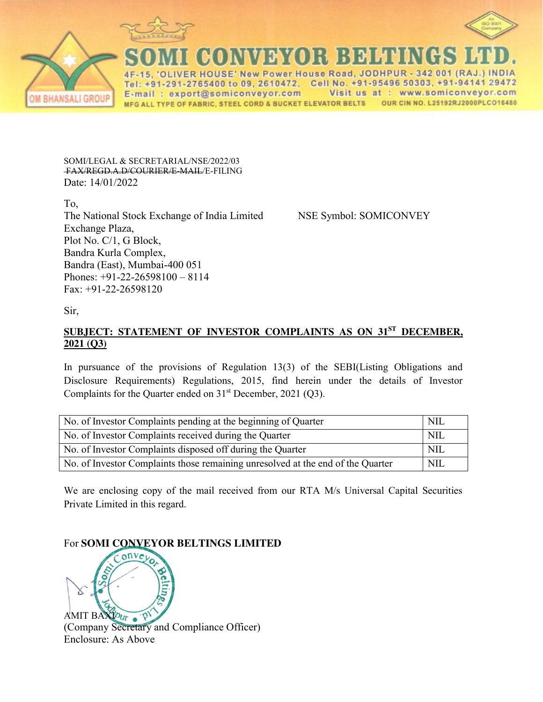



HOUSE' New Power House Road, JODHPUR 342 001 (RAJ 1-291-2765400 to 09, 2610472, Cell No. +91-95496 50303, +91-94141 29472 E-mail: export@somiconveyor.com Visit us at : www.somiconveyor.com MFG ALL TYPE OF FABRIC, STEEL CORD & BUCKET ELEVATOR BELTS OUR CIN NO. L25192RJ2000PLCO16480

SOMI/LEGAL & SECRETARIAL/NSE/2022/03 FAX/REGD.A.D/COURIER/E-MAIL/E-FILING Date: 14/01/2022

To, The National Stock Exchange of India Limited NSE Symbol: SOMICONVEY Exchange Plaza, Plot No. C/1, G Block, Bandra Kurla Complex, Bandra (East), Mumbai-400 051 Phones: +91-22-26598100 – 8114 Fax: +91-22-26598120

Sir,

## **SUBJECT: STATEMENT OF INVESTOR COMPLAINTS AS ON 31ST DECEMBER, 2021 (Q3)**

In pursuance of the provisions of Regulation 13(3) of the SEBI(Listing Obligations and Disclosure Requirements) Regulations, 2015, find herein under the details of Investor Complaints for the Quarter ended on  $31<sup>st</sup>$  December, 2021 (Q3).

| No. of Investor Complaints pending at the beginning of Quarter                  | NII.       |
|---------------------------------------------------------------------------------|------------|
| No. of Investor Complaints received during the Quarter                          | <b>NIL</b> |
| No. of Investor Complaints disposed off during the Quarter                      | NIL        |
| No. of Investor Complaints those remaining unresolved at the end of the Quarter | <b>NIL</b> |

We are enclosing copy of the mail received from our RTA M/s Universal Capital Securities Private Limited in this regard.

## For **SOMI CONVEYOR BELTINGS LIMITED**



(Company Secretary and Compliance Officer) Enclosure: As Above